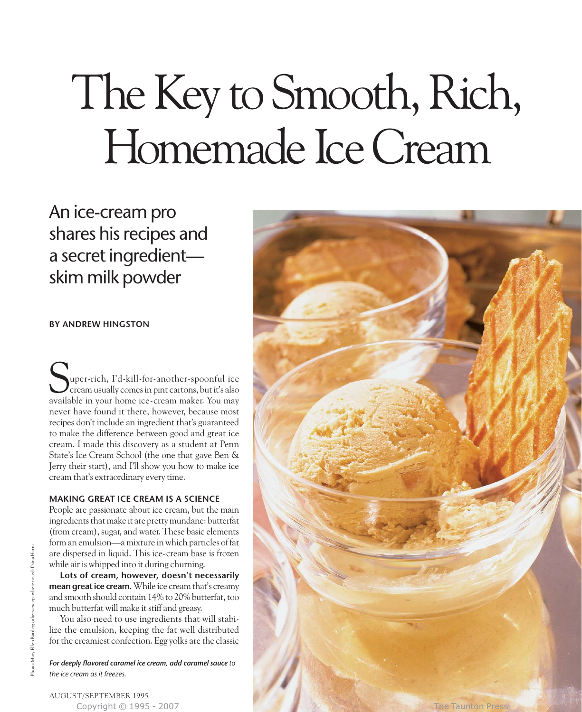# The Key to Smooth, Rich, Homemade Ice Cream

An ice-cream pro shares his recipes and a secret ingredient skim milk powder

# **BY ANDREW HINGSTON**

uper-rich, I'd-kill-for-another-spoonful ice cream usually comes in pint cartons, but it's also Super-rich, I'd-kill-for-another-spoonful ice<br>cream usually comes in pint cartons, but it's also<br>available in your home ice-cream maker. You may never have found it there, however, because most recipes don't include an ingredient that's guaranteed to make the difference between good and great ice cream. I made this discovery as a student at Penn State's Ice Cream School (the one that gave Ben & Jerry their start), and I'll show you how to make ice cream that's extraordinary every time.

#### **MAKING GREAT ICE CREAM IS A SCIENCE**

People are passionate about ice cream, but the main ingredients that make it are pretty mundane: butterfat (from cream), sugar, and water. These basic elements form an emulsion—a mixture in which particles of fat are dispersed in liquid. This ice-cream base is frozen while air is whipped into it during churning.

**Lots of cream, however, doesn't necessarily mean great ice cream.** While ice cream that's creamy and smooth should contain 14% to 20% butterfat, too much butterfat will make it stiff and greasy.

You also need to use ingredients that will stabilize the emulsion, keeping the fat well distributed for the creamiest confection. Egg yolks are the classic

*For deeply flavored caramel ice cream, add caramel sauce to the ice cream as it freezes.* 



Photo: Mary Ellen Bartley; others except where noted: Dana Harris

Mary Ellen Bartley; others except where

noted: Dana Harris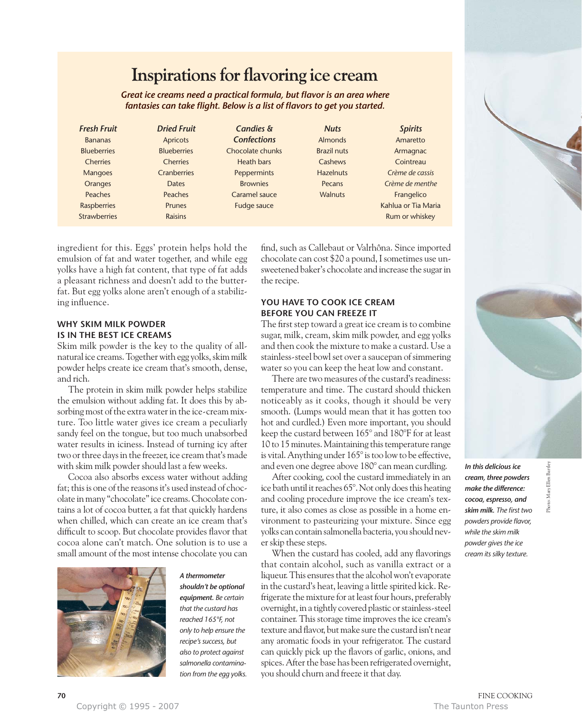# **Inspirations for flavoring ice cream**

*Great ice creams need a practical formula, but flavor is an area where fantasies can take flight. Below is a list of flavors to get you started.*

| <b>Fresh Fruit</b>  | <b>Dried Fruit</b> | <b>Candies &amp;</b> | <b>Nuts</b>        | <b>Spirits</b>      |
|---------------------|--------------------|----------------------|--------------------|---------------------|
| <b>Bananas</b>      | <b>Apricots</b>    | <b>Confections</b>   | Almonds            | Amaretto            |
| <b>Blueberries</b>  | <b>Blueberries</b> | Chocolate chunks     | <b>Brazil nuts</b> | Armagnac            |
| <b>Cherries</b>     | <b>Cherries</b>    | Heath bars           | Cashews            | Cointreau           |
| <b>Mangoes</b>      | <b>Cranberries</b> | Peppermints          | <b>Hazelnuts</b>   | Crème de cassis     |
| <b>Oranges</b>      | <b>Dates</b>       | <b>Brownies</b>      | Pecans             | Crème de menthe     |
| <b>Peaches</b>      | <b>Peaches</b>     | Caramel sauce        | <b>Walnuts</b>     | Frangelico          |
| <b>Raspberries</b>  | <b>Prunes</b>      | Fudge sauce          |                    | Kahlua or Tia Maria |
| <b>Strawberries</b> | <b>Raisins</b>     |                      |                    | Rum or whiskey      |

ingredient for this. Eggs' protein helps hold the emulsion of fat and water together, and while egg yolks have a high fat content, that type of fat adds a pleasant richness and doesn't add to the butterfat. But egg yolks alone aren't enough of a stabilizing influence.

# **WHY SKIM MILK POWDER IS IN THE BEST ICE CREAMS**

Skim milk powder is the key to the quality of allnatural ice creams. Together with egg yolks, skim milk powder helps create ice cream that's smooth, dense, and rich.

The protein in skim milk powder helps stabilize the emulsion without adding fat. It does this by absorbing most of the extra water in the ice-cream mixture. Too little water gives ice cream a peculiarly sandy feel on the tongue, but too much unabsorbed water results in iciness. Instead of turning icy after two or three days in the freezer, ice cream that's made with skim milk powder should last a few weeks.

Cocoa also absorbs excess water without adding fat; this is one of the reasons it's used instead of chocolate in many "chocolate" ice creams. Chocolate contains a lot of cocoa butter, a fat that quickly hardens when chilled, which can create an ice cream that's difficult to scoop. But chocolate provides flavor that cocoa alone can't match. One solution is to use a small amount of the most intense chocolate you can



*shouldn't be optional equipment. Be certain that the custard has reached 165°F, not only to help ensure the recipe's success, but also to protect against salmonella contamination from the egg yolks.*

*A thermometer*

find, such as Callebaut or Valrhôna. Since imported chocolate can cost \$20 a pound, I sometimes use unsweetened baker's chocolate and increase the sugar in the recipe.

### **YOU HAVE TO COOK ICE CREAM BEFORE YOU CAN FREEZE IT**

The first step toward a great ice cream is to combine sugar, milk, cream, skim milk powder, and egg yolks and then cook the mixture to make a custard. Use a stainless-steel bowl set over a saucepan of simmering water so you can keep the heat low and constant.

There are two measures of the custard's readiness: temperature and time. The custard should thicken noticeably as it cooks, though it should be very smooth. (Lumps would mean that it has gotten too hot and curdled.) Even more important, you should keep the custard between 165° and 180°F for at least 10 to 15 minutes. Maintaining this temperature range is vital. Anything under 165° is too low to be effective, and even one degree above 180° can mean curdling.

After cooking, cool the custard immediately in an ice bath until it reaches 65°. Not only does this heating and cooling procedure improve the ice cream's texture, it also comes as close as possible in a home environment to pasteurizing your mixture. Since egg yolks can contain salmonella bacteria, you should never skip these steps.

When the custard has cooled, add any flavorings that contain alcohol, such as vanilla extract or a liqueur. This ensures that the alcohol won't evaporate in the custard's heat, leaving a little spirited kick. Refrigerate the mixture for at least four hours, preferably overnight, in a tightly covered plastic or stainless-steel container. This storage time improves the ice cream's texture and flavor, but make sure the custard isn't near any aromatic foods in your refrigerator. The custard can quickly pick up the flavors of garlic, onions, and spices. After the base has been refrigerated overnight, you should churn and freeze it that day.



*powder gives the ice cream its silky texture.*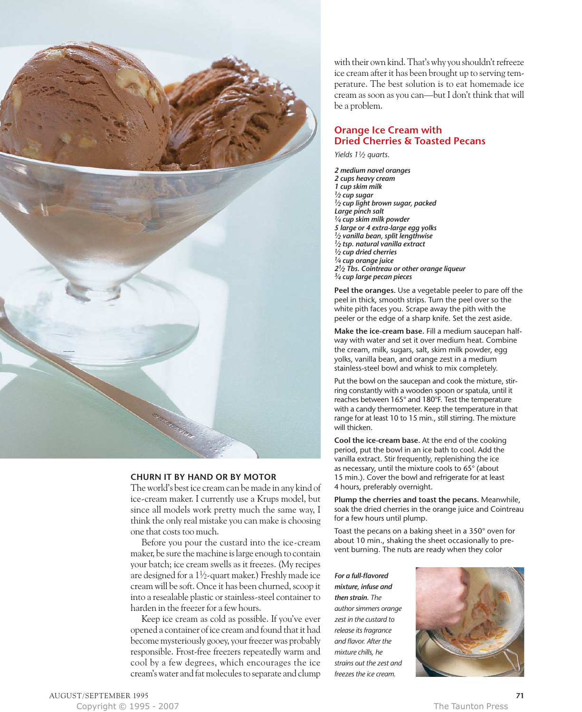

#### **CHURN IT BY HAND OR BY MOTOR**

The world's best ice cream can be made in any kind of ice-cream maker. I currently use a Krups model, but since all models work pretty much the same way, I think the only real mistake you can make is choosing one that costs too much.

Before you pour the custard into the ice-cream maker, be sure the machine is large enough to contain your batch; ice cream swells as it freezes. (My recipes are designed for a  $1\frac{1}{2}$ -quart maker.) Freshly made ice cream will be soft. Once it has been churned, scoop it into a resealable plastic or stainless-steel container to harden in the freezer for a few hours.

Keep ice cream as cold as possible. If you've ever opened a container of ice cream and found that it had become mysteriously gooey, your freezer was probably responsible. Frost-free freezers repeatedly warm and cool by a few degrees, which encourages the ice cream's water and fat molecules to separate and clump

with their own kind. That's why you shouldn't refreeze ice cream after it has been brought up to serving temperature. The best solution is to eat homemade ice cream as soon as you can—but I don't think that will be a problem.

# **Orange Ice Cream with Dried Cherries & Toasted Pecans**

*Yields 11⁄2 quarts.*

*2 medium navel oranges 2 cups heavy cream 1 cup skim milk*  $1/2$  *cup light brown sugar, packed Large pinch salt 1⁄4 cup skim milk powder 5 large or 4 extra-large egg yolks 1⁄2 vanilla bean, split lengthwise 1⁄2 tsp. natural vanilla extract 1⁄2 cup dried cherries 1⁄4 cup orange juice 21⁄2 Tbs. Cointreau or other orange liqueur 3⁄4 cup large pecan pieces*

**Peel the oranges.** Use a vegetable peeler to pare off the peel in thick, smooth strips. Turn the peel over so the white pith faces you. Scrape away the pith with the peeler or the edge of a sharp knife. Set the zest aside.

**Make the ice-cream base.** Fill a medium saucepan halfway with water and set it over medium heat. Combine the cream, milk, sugars, salt, skim milk powder, egg yolks, vanilla bean, and orange zest in a medium stainless-steel bowl and whisk to mix completely.

Put the bowl on the saucepan and cook the mixture, stirring constantly with a wooden spoon or spatula, until it reaches between 165° and 180°F. Test the temperature with a candy thermometer. Keep the temperature in that range for at least 10 to 15 min., still stirring. The mixture will thicken.

**Cool the ice-cream base.** At the end of the cooking period, put the bowl in an ice bath to cool. Add the vanilla extract. Stir frequently, replenishing the ice as necessary, until the mixture cools to 65° (about 15 min.). Cover the bowl and refrigerate for at least 4 hours, preferably overnight.

**Plump the cherries and toast the pecans.** Meanwhile, soak the dried cherries in the orange juice and Cointreau for a few hours until plump.

Toast the pecans on a baking sheet in a 350° oven for about 10 min., shaking the sheet occasionally to prevent burning. The nuts are ready when they color

*For a full-flavored mixture, infuse and then strain. The author simmers orange zest in the custard to release its fragrance and flavor. After the mixture chills, he strains out the zest and freezes the ice cream.*

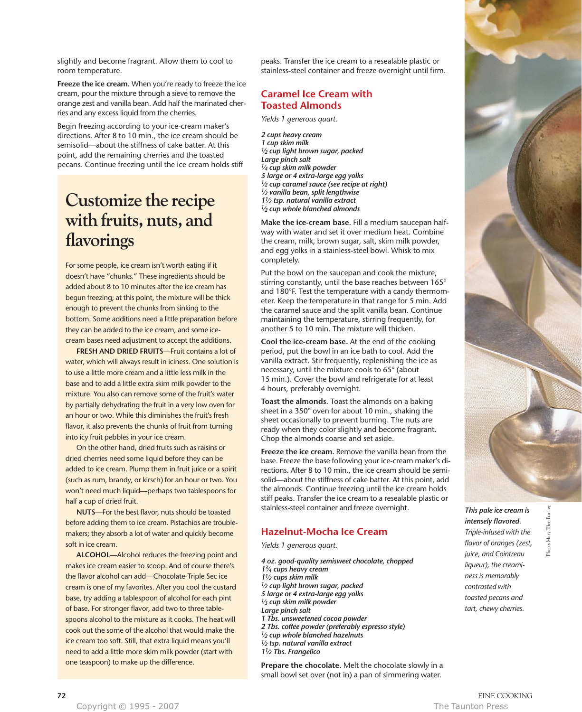slightly and become fragrant. Allow them to cool to room temperature.

**Freeze the ice cream.** When you're ready to freeze the ice cream, pour the mixture through a sieve to remove the orange zest and vanilla bean. Add half the marinated cherries and any excess liquid from the cherries.

Begin freezing according to your ice-cream maker's directions. After 8 to 10 min., the ice cream should be semisolid—about the stiffness of cake batter. At this point, add the remaining cherries and the toasted pecans. Continue freezing until the ice cream holds stiff

# **Customize the recipe with fruits, nuts, and flavorings**

For some people, ice cream isn't worth eating if it doesn't have "chunks." These ingredients should be added about 8 to 10 minutes after the ice cream has begun freezing; at this point, the mixture will be thick enough to prevent the chunks from sinking to the bottom. Some additions need a little preparation before they can be added to the ice cream, and some icecream bases need adjustment to accept the additions.

**FRESH AND DRIED FRUITS—**Fruit contains a lot of water, which will always result in iciness. One solution is to use a little more cream and a little less milk in the base and to add a little extra skim milk powder to the mixture. You also can remove some of the fruit's water by partially dehydrating the fruit in a very low oven for an hour or two. While this diminishes the fruit's fresh flavor, it also prevents the chunks of fruit from turning into icy fruit pebbles in your ice cream.

On the other hand, dried fruits such as raisins or dried cherries need some liquid before they can be added to ice cream. Plump them in fruit juice or a spirit (such as rum, brandy, or kirsch) for an hour or two. You won't need much liquid—perhaps two tablespoons for half a cup of dried fruit.

**NUTS—**For the best flavor, nuts should be toasted before adding them to ice cream. Pistachios are troublemakers; they absorb a lot of water and quickly become soft in ice cream.

**ALCOHOL—**Alcohol reduces the freezing point and makes ice cream easier to scoop. And of course there's the flavor alcohol can add—Chocolate-Triple Sec ice cream is one of my favorites. After you cool the custard base, try adding a tablespoon of alcohol for each pint of base. For stronger flavor, add two to three tablespoons alcohol to the mixture as it cooks. The heat will cook out the some of the alcohol that would make the ice cream too soft. Still, that extra liquid means you'll need to add a little more skim milk powder (start with one teaspoon) to make up the difference.

peaks. Transfer the ice cream to a resealable plastic or stainless-steel container and freeze overnight until firm.

# **Caramel Ice Cream with Toasted Almonds**

*Yields 1 generous quart.*

*2 cups heavy cream 1 cup skim milk 1⁄2 cup light brown sugar, packed Large pinch salt 1⁄4 cup skim milk powder 5 large or 4 extra-large egg yolks 1⁄2 cup caramel sauce (see recipe at right) 1⁄2 vanilla bean, split lengthwise 11⁄2 tsp. natural vanilla extract 1⁄2 cup whole blanched almonds*

**Make the ice-cream base.** Fill a medium saucepan halfway with water and set it over medium heat. Combine the cream, milk, brown sugar, salt, skim milk powder, and egg yolks in a stainless-steel bowl. Whisk to mix completely.

Put the bowl on the saucepan and cook the mixture, stirring constantly, until the base reaches between 165° and 180°F. Test the temperature with a candy thermometer. Keep the temperature in that range for 5 min. Add the caramel sauce and the split vanilla bean. Continue maintaining the temperature, stirring frequently, for another 5 to 10 min. The mixture will thicken.

**Cool the ice-cream base.** At the end of the cooking period, put the bowl in an ice bath to cool. Add the vanilla extract. Stir frequently, replenishing the ice as necessary, until the mixture cools to 65° (about 15 min.). Cover the bowl and refrigerate for at least 4 hours, preferably overnight.

**Toast the almonds.** Toast the almonds on a baking sheet in a 350° oven for about 10 min., shaking the sheet occasionally to prevent burning. The nuts are ready when they color slightly and become fragrant. Chop the almonds coarse and set aside.

**Freeze the ice cream.** Remove the vanilla bean from the base. Freeze the base following your ice-cream maker's directions. After 8 to 10 min., the ice cream should be semisolid—about the stiffness of cake batter. At this point, add the almonds. Continue freezing until the ice cream holds stiff peaks. Transfer the ice cream to a resealable plastic or stainless-steel container and freeze overnight.

# **Hazelnut-Mocha Ice Cream**

*Yields 1 generous quart.*

*4 oz. good-quality semisweet chocolate, chopped 13⁄4 cups heavy cream 11⁄2 cups skim milk 1⁄2 cup light brown sugar, packed 5 large or 4 extra-large egg yolks 1⁄3 cup skim milk powder Large pinch salt 1 Tbs. unsweetened cocoa powder 2 Tbs. coffee powder (preferably espresso style) 1⁄2 cup whole blanched hazelnuts 1⁄2 tsp. natural vanilla extract 11⁄2 Tbs. Frangelico*

**Prepare the chocolate.** Melt the chocolate slowly in a small bowl set over (not in) a pan of simmering water.



*This pale ice cream is intensely flavored. Triple-infused with the flavor of oranges (zest, juice, and Cointreau liqueur), the creaminess is memorably contrasted with toasted pecans and tart, chewy cherries.*